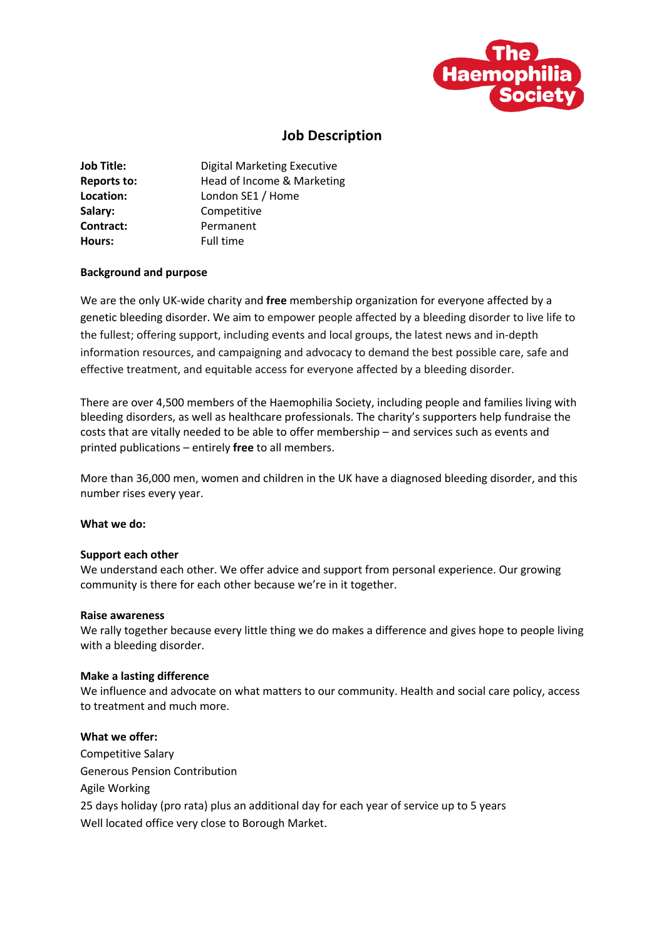

# **Job Description**

| <b>Job Title:</b>  | <b>Digital Marketing Executive</b> |
|--------------------|------------------------------------|
| <b>Reports to:</b> | Head of Income & Marketing         |
| Location:          | London SE1 / Home                  |
| Salary:            | Competitive                        |
| Contract:          | Permanent                          |
| Hours:             | Full time                          |

# **Background and purpose**

We are the only UK-wide charity and **free** membership organization for everyone affected by a genetic bleeding disorder. We aim to empower people affected by a bleeding disorder to live life to the fullest; offering support, including events and local groups, the latest news and in-depth information resources, and campaigning and advocacy to demand the best possible care, safe and effective treatment, and equitable access for everyone affected by a bleeding disorder.

There are over 4,500 members of the Haemophilia Society, including people and families living with bleeding disorders, as well as healthcare professionals. The charity's supporters help fundraise the costs that are vitally needed to be able to offer membership – and services such as events and printed publications – entirely **free** to all members.

More than 36,000 men, women and children in the UK have a diagnosed bleeding disorder, and this number rises every year.

## **What we do:**

## **Support each other**

We understand each other. We offer advice and support from personal experience. Our growing community is there for each other because we're in it together.

## **Raise awareness**

We rally together because every little thing we do makes a difference and gives hope to people living with a bleeding disorder.

# **Make a lasting difference**

We influence and advocate on what matters to our community. Health and social care policy, access to treatment and much more.

# **What we offer:**

Competitive Salary Generous Pension Contribution Agile Working 25 days holiday (pro rata) plus an additional day for each year of service up to 5 years Well located office very close to Borough Market.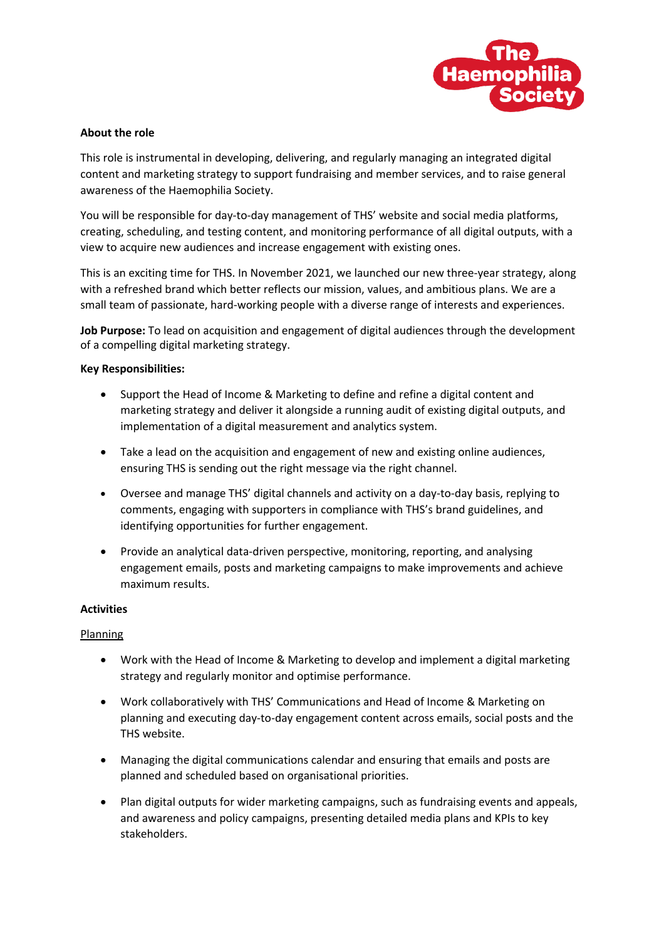

## **About the role**

This role is instrumental in developing, delivering, and regularly managing an integrated digital content and marketing strategy to support fundraising and member services, and to raise general awareness of the Haemophilia Society.

You will be responsible for day-to-day management of THS' website and social media platforms, creating, scheduling, and testing content, and monitoring performance of all digital outputs, with a view to acquire new audiences and increase engagement with existing ones.

This is an exciting time for THS. In November 2021, we launched our new three-year strategy, along with a refreshed brand which better reflects our mission, values, and ambitious plans. We are a small team of passionate, hard-working people with a diverse range of interests and experiences.

**Job Purpose:** To lead on acquisition and engagement of digital audiences through the development of a compelling digital marketing strategy.

## **Key Responsibilities:**

- Support the Head of Income & Marketing to define and refine a digital content and marketing strategy and deliver it alongside a running audit of existing digital outputs, and implementation of a digital measurement and analytics system.
- Take a lead on the acquisition and engagement of new and existing online audiences, ensuring THS is sending out the right message via the right channel.
- Oversee and manage THS' digital channels and activity on a day-to-day basis, replying to comments, engaging with supporters in compliance with THS's brand guidelines, and identifying opportunities for further engagement.
- Provide an analytical data-driven perspective, monitoring, reporting, and analysing engagement emails, posts and marketing campaigns to make improvements and achieve maximum results.

## **Activities**

# Planning

- Work with the Head of Income & Marketing to develop and implement a digital marketing strategy and regularly monitor and optimise performance.
- Work collaboratively with THS' Communications and Head of Income & Marketing on planning and executing day-to-day engagement content across emails, social posts and the THS website.
- Managing the digital communications calendar and ensuring that emails and posts are planned and scheduled based on organisational priorities.
- Plan digital outputs for wider marketing campaigns, such as fundraising events and appeals, and awareness and policy campaigns, presenting detailed media plans and KPIs to key stakeholders.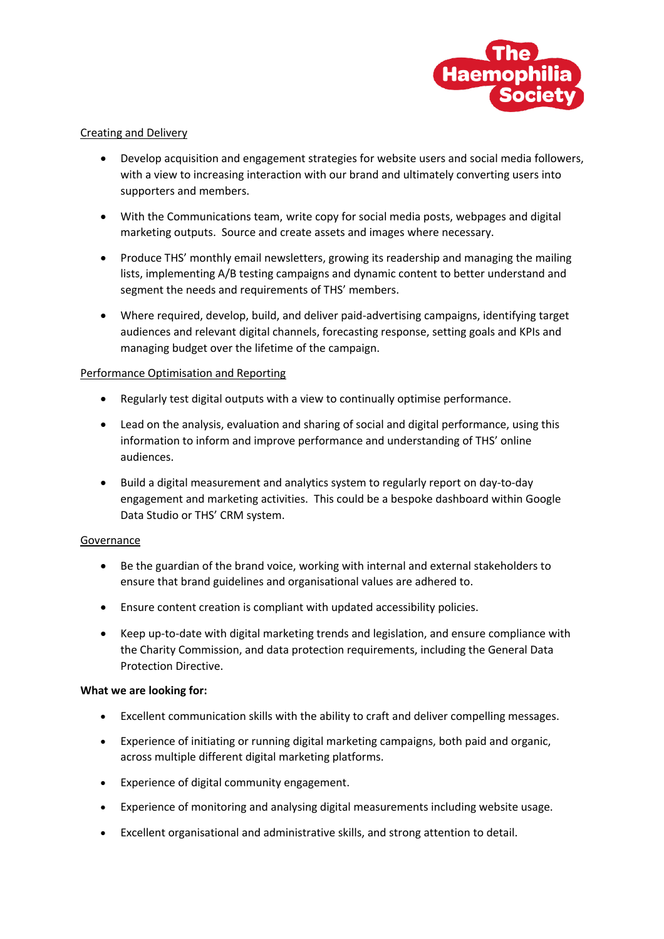

# Creating and Delivery

- Develop acquisition and engagement strategies for website users and social media followers, with a view to increasing interaction with our brand and ultimately converting users into supporters and members.
- With the Communications team, write copy for social media posts, webpages and digital marketing outputs. Source and create assets and images where necessary.
- Produce THS' monthly email newsletters, growing its readership and managing the mailing lists, implementing A/B testing campaigns and dynamic content to better understand and segment the needs and requirements of THS' members.
- Where required, develop, build, and deliver paid-advertising campaigns, identifying target audiences and relevant digital channels, forecasting response, setting goals and KPIs and managing budget over the lifetime of the campaign.

# Performance Optimisation and Reporting

- Regularly test digital outputs with a view to continually optimise performance.
- Lead on the analysis, evaluation and sharing of social and digital performance, using this information to inform and improve performance and understanding of THS' online audiences.
- Build a digital measurement and analytics system to regularly report on day-to-day engagement and marketing activities. This could be a bespoke dashboard within Google Data Studio or THS' CRM system.

# Governance

- Be the guardian of the brand voice, working with internal and external stakeholders to ensure that brand guidelines and organisational values are adhered to.
- Ensure content creation is compliant with updated accessibility policies.
- Keep up-to-date with digital marketing trends and legislation, and ensure compliance with the Charity Commission, and data protection requirements, including the General Data Protection Directive.

# **What we are looking for:**

- Excellent communication skills with the ability to craft and deliver compelling messages.
- Experience of initiating or running digital marketing campaigns, both paid and organic, across multiple different digital marketing platforms.
- Experience of digital community engagement.
- Experience of monitoring and analysing digital measurements including website usage.
- Excellent organisational and administrative skills, and strong attention to detail.